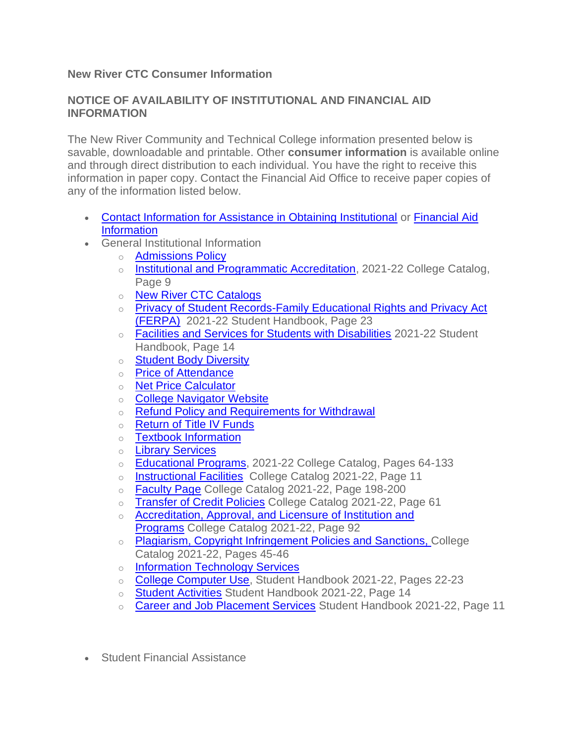## **New River CTC Consumer Information**

## **NOTICE OF AVAILABILITY OF INSTITUTIONAL AND FINANCIAL AID INFORMATION**

The New River Community and Technical College information presented below is savable, downloadable and printable. Other **consumer information** is available online and through direct distribution to each individual. You have the right to receive this information in paper copy. Contact the Financial Aid Office to receive paper copies of any of the information listed below.

- [Contact Information for Assistance in Obtaining Institutional](https://www.newriver.edu/contact-us/) or [Financial Aid](https://www.newriver.edu/financial-aid/)  [Information](https://www.newriver.edu/financial-aid/)
- General Institutional Information
	- o [Admissions Policy](https://www.newriver.edu/wp-content/uploads/2021/12/2021-Admissions-Policy-New-River-CTC-rev-12.6.21.pdf)
	- o [Institutional and Programmatic Accreditation,](https://www.newriver.edu/wp-content/uploads/2021/08/collegecatalog-2021-2022-Amended-8-2021-1.pdf) 2021-22 College Catalog, Page 9
	- o [New River CTC Catalogs](https://www.newriver.edu/college-catalog/)
	- o Privacy of Student Records-Family Educational Rights and Privacy Act [\(FERPA\)](https://www.newriver.edu/wp-content/uploads/2022/01/STUDENT_HANDBOOK_21-22_revised.pdf) 2021-22 Student Handbook, Page 23
	- o [Facilities and Services for Students with Disabilities](https://www.newriver.edu/wp-content/uploads/2020/10/STUDENT_HANDBOOK_20-21.pdf) 2021-22 Student Handbook, Page 14
	- o [Student Body Diversity](https://www.newriver.edu/student-right-to-know/)
	- o [Price of Attendance](https://www.newriver.edu/tuition-and-fees/)
	- o [Net Price Calculator](https://www.newriver.edu/net-price-calculator/)
	- o [College Navigator Website](https://nces.ed.gov/collegenavigator/?s=WV&zc=25813&zd=0&of=3&id=447582)
	- o [Refund Policy and Requirements for Withdrawal](https://www.newriver.edu/complete-withdraw-from-new-river-community-and-technical-college/)
	- o [Return of Title IV Funds](https://www.newriver.edu/return-of-title-iv-funds/)
	- o [Textbook Information](https://bookstore.mbsdirect.net/vbm/vb_home.php?FVCUSNO=37887&url=newriver.htm)
	- o [Library Services](https://www.newriver.edu/library-services/)
	- [Educational Programs,](https://www.newriver.edu/wp-content/uploads/2021/08/collegecatalog-2021-2022-Amended-8-2021-1.pdf) 2021-22 College Catalog, Pages 64-133
	- o [Instructional Facilities](https://www.newriver.edu/wp-content/uploads/2021/08/collegecatalog-2021-2022-Amended-8-2021-1.pdf) College Catalog 2021-22, Page 11
	- o [Faculty Page](https://www.newriver.edu/wp-content/uploads/2021/08/collegecatalog-2021-2022-Amended-8-2021-1.pdf) College Catalog 2021-22, Page 198-200
	- o [Transfer of Credit Policies](https://www.newriver.edu/wp-content/uploads/2021/08/collegecatalog-2021-2022-Amended-8-2021-1.pdf) College Catalog 2021-22, Page 61
	- o Accreditation, Approval, and Licensure of Institution and [Programs](https://www.newriver.edu/wp-content/uploads/2021/08/collegecatalog-2021-2022-Amended-8-2021-1.pdf) College Catalog 2021-22, Page 92
	- o [Plagiarism, Copyright Infringement Policies and Sanctions,](https://www.newriver.edu/wp-content/uploads/2021/08/collegecatalog-2021-2022-Amended-8-2021-1.pdf) College Catalog 2021-22, Pages 45-46
	- o [Information Technology Services](https://www.newriver.edu/technology-and-library-services/)
	- o [College Computer Use,](https://www.newriver.edu/wp-content/uploads/2022/01/STUDENT_HANDBOOK_21-22_revised.pdf) Student Handbook 2021-22, Pages 22-23
	- o [Student Activities](https://www.newriver.edu/wp-content/uploads/2022/01/STUDENT_HANDBOOK_21-22_revised.pdf) Student Handbook 2021-22, Page 14
	- o [Career and Job Placement Services](https://www.newriver.edu/wp-content/uploads/2022/01/STUDENT_HANDBOOK_21-22_revised.pdf) Student Handbook 2021-22, Page 11
- Student Financial Assistance